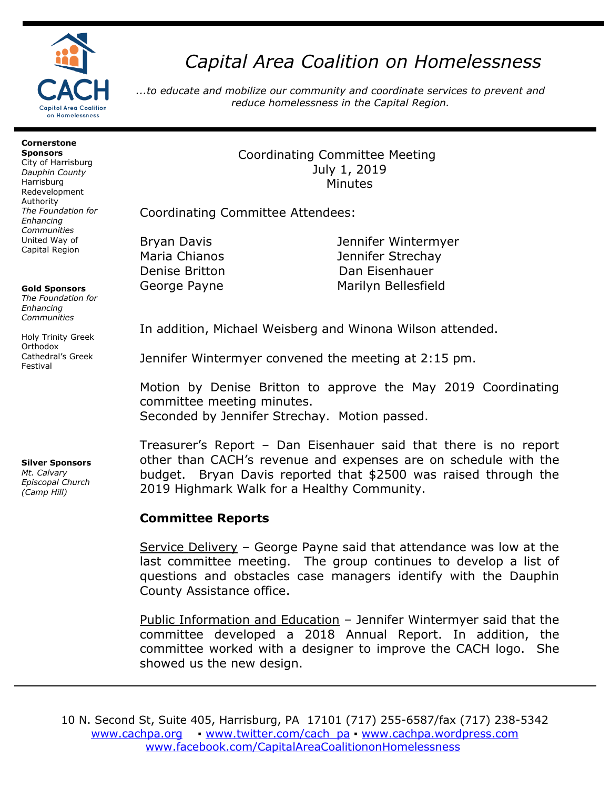

# *Capital Area Coalition on Homelessness*

*...to educate and mobilize our community and coordinate services to prevent and reduce homelessness in the Capital Region.*

#### **Cornerstone Sponsors**

City of Harrisburg *Dauphin County* Harrisburg Redevelopment Authority *The Foundation for Enhancing Communities* United Way of Capital Region

### **Gold Sponsors**

*The Foundation for Enhancing Communities*

Holy Trinity Greek **Orthodox** Cathedral's Greek Festival

## **Silver Sponsors**

*Mt. Calvary Episcopal Church (Camp Hill)*

Coordinating Committee Meeting July 1, 2019 Minutes

Coordinating Committee Attendees:

Bryan Davis Jennifer Wintermyer Maria Chianos Jennifer Strechay Denise Britton Dan Eisenhauer George Payne **Marilyn Bellesfield** 

In addition, Michael Weisberg and Winona Wilson attended.

Jennifer Wintermyer convened the meeting at 2:15 pm.

Motion by Denise Britton to approve the May 2019 Coordinating committee meeting minutes. Seconded by Jennifer Strechay. Motion passed.

Treasurer's Report – Dan Eisenhauer said that there is no report other than CACH's revenue and expenses are on schedule with the budget. Bryan Davis reported that \$2500 was raised through the 2019 Highmark Walk for a Healthy Community.

## **Committee Reports**

Service Delivery – George Payne said that attendance was low at the last committee meeting. The group continues to develop a list of questions and obstacles case managers identify with the Dauphin County Assistance office.

Public Information and Education – Jennifer Wintermyer said that the committee developed a 2018 Annual Report. In addition, the committee worked with a designer to improve the CACH logo. She showed us the new design.

10 N. Second St, Suite 405, Harrisburg, PA 17101 (717) 255-6587/fax (717) 238-5342 [www.cachpa.org](http://www.cachpa.org/) • [www.twitter.com/cach\\_pa](http://www.twitter.com/cach_pa) • [www.cachpa.wordpress.com](http://www.cachpa.wordpress.com/) [www.facebook.com/CapitalAreaCoalitiononHomelessness](http://www.facebook.com/CapitalAreaCoalitiononHomelessness)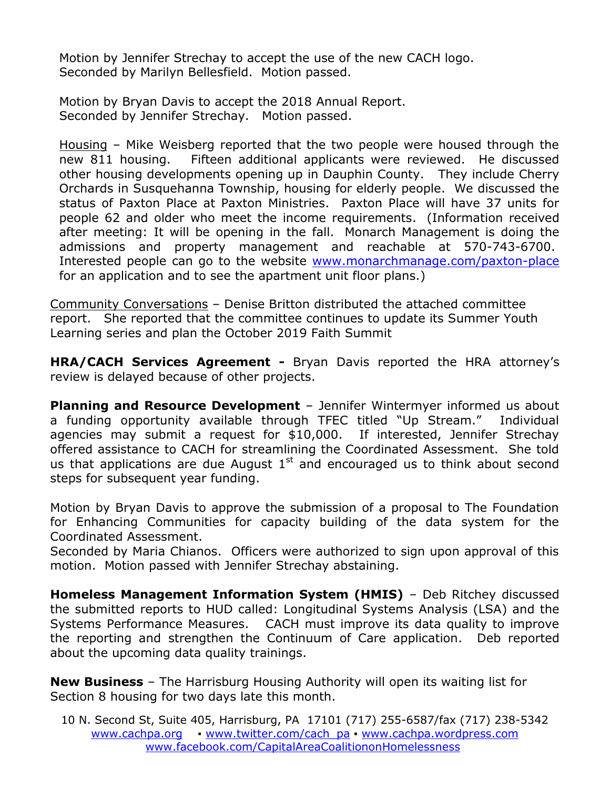Motion by Jennifer Strechay to accept the use of the new CACH logo. Seconded by Marilyn Bellesfield. Motion passed.

Motion by Bryan Davis to accept the 2018 Annual Report. Seconded by Jennifer Strechay. Motion passed.

Housing – Mike Weisberg reported that the two people were housed through the new 811 housing. Fifteen additional applicants were reviewed. He discussed other housing developments opening up in Dauphin County. They include Cherry Orchards in Susquehanna Township, housing for elderly people. We discussed the status of Paxton Place at Paxton Ministries. Paxton Place will have 37 units for people 62 and older who meet the income requirements. (Information received after meeting: It will be opening in the fall. Monarch Management is doing the admissions and property management and reachable at 570-743-6700. Interested people can go to the website [www.monarchmanage.com/paxton-place](http://www.monarchmanage.com/paxton-place) for an application and to see the apartment unit floor plans.)

Community Conversations – Denise Britton distributed the attached committee report. She reported that the committee continues to update its Summer Youth Learning series and plan the October 2019 Faith Summit

**HRA/CACH Services Agreement -** Bryan Davis reported the HRA attorney's review is delayed because of other projects.

**Planning and Resource Development** – Jennifer Wintermyer informed us about a funding opportunity available through TFEC titled "Up Stream." Individual agencies may submit a request for \$10,000. If interested, Jennifer Strechay offered assistance to CACH for streamlining the Coordinated Assessment. She told us that applications are due August  $1<sup>st</sup>$  and encouraged us to think about second steps for subsequent year funding.

Motion by Bryan Davis to approve the submission of a proposal to The Foundation for Enhancing Communities for capacity building of the data system for the Coordinated Assessment.

Seconded by Maria Chianos. Officers were authorized to sign upon approval of this motion. Motion passed with Jennifer Strechay abstaining.

**Homeless Management Information System (HMIS)** – Deb Ritchey discussed the submitted reports to HUD called: Longitudinal Systems Analysis (LSA) and the Systems Performance Measures. CACH must improve its data quality to improve the reporting and strengthen the Continuum of Care application. Deb reported about the upcoming data quality trainings.

**New Business** – The Harrisburg Housing Authority will open its waiting list for Section 8 housing for two days late this month.

10 N. Second St, Suite 405, Harrisburg, PA 17101 (717) 255-6587/fax (717) 238-5342 [www.cachpa.org](http://www.cachpa.org/) • [www.twitter.com/cach\\_pa](http://www.twitter.com/cach_pa) • [www.cachpa.wordpress.com](http://www.cachpa.wordpress.com/) [www.facebook.com/CapitalAreaCoalitiononHomelessness](http://www.facebook.com/CapitalAreaCoalitiononHomelessness)